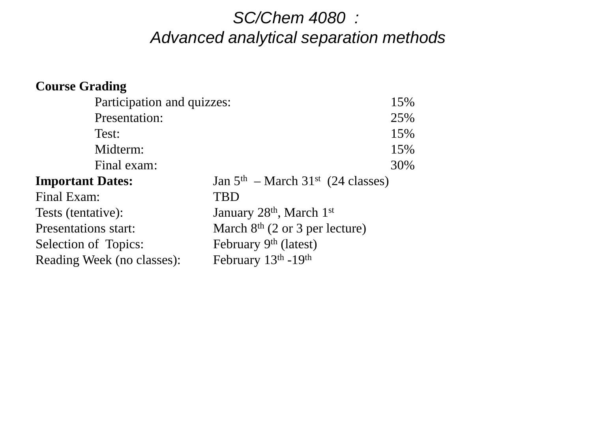### *SC/Chem 4080 : Advanced analytical separation methods*

| <b>Course Grading</b>      |                                                  |
|----------------------------|--------------------------------------------------|
| Participation and quizzes: | 15%                                              |
| Presentation:              | 25%                                              |
| Test:                      | 15%                                              |
| Midterm:                   | 15%                                              |
| Final exam:                | 30%                                              |
| <b>Important Dates:</b>    | Jan $5th$ – March 31 <sup>st</sup> (24 classes)  |
| Final Exam:                | <b>TBD</b>                                       |
| Tests (tentative):         | January 28 <sup>th</sup> , March 1 <sup>st</sup> |
| Presentations start:       | March $8th$ (2 or 3 per lecture)                 |
| Selection of Topics:       | February 9th (latest)                            |
| Reading Week (no classes): | February 13th -19th                              |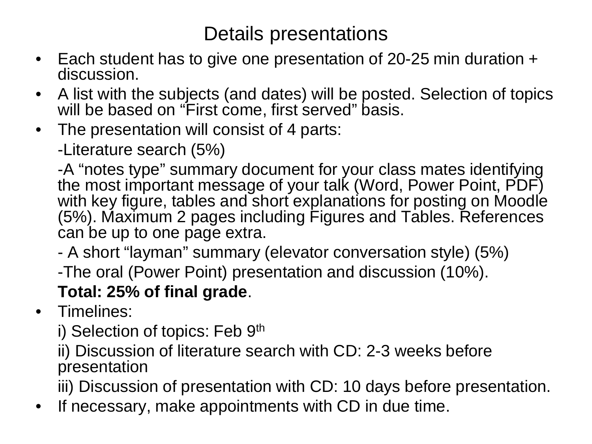## Details presentations

- Each student has to give one presentation of 20-25 min duration + discussion.
- A list with the subjects (and dates) will be posted. Selection of topics will be based on "First come, first served" basis.
- The presentation will consist of 4 parts:

-Literature search (5%)

-A "notes type" summary document for your class mates identifying the most important message of your talk (Word, Power Point, PDF) with key figure, tables and short explanations for posting on Moodle (5%). Maximum 2 pages including Figures and Tables. References can be up to one page extra.

- A short "layman" summary (elevator conversation style) (5%)
- -The oral (Power Point) presentation and discussion (10%).

### **Total: 25% of final grade**.

- Timelines:
	- i) Selection of topics: Feb 9th

ii) Discussion of literature search with CD: 2-3 weeks before presentation

iii) Discussion of presentation with CD: 10 days before presentation.

• If necessary, make appointments with CD in due time.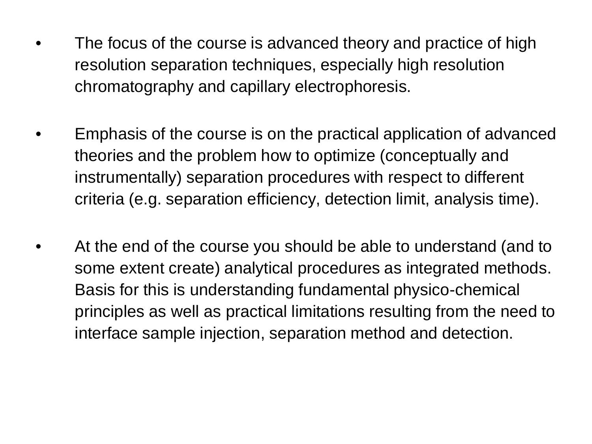- The focus of the course is advanced theory and practice of high resolution separation techniques, especially high resolution chromatography and capillary electrophoresis.
- Emphasis of the course is on the practical application of advanced theories and the problem how to optimize (conceptually and instrumentally) separation procedures with respect to different criteria (e.g. separation efficiency, detection limit, analysis time).
- At the end of the course you should be able to understand (and to some extent create) analytical procedures as integrated methods. Basis for this is understanding fundamental physico-chemical principles as well as practical limitations resulting from the need to interface sample injection, separation method and detection.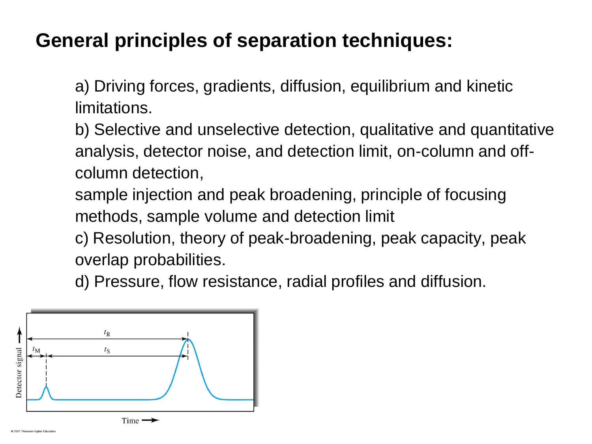# **General principles of separation techniques:**

a) Driving forces, gradients, diffusion, equilibrium and kinetic limitations.

b) Selective and unselective detection, qualitative and quantitative analysis, detector noise, and detection limit, on-column and offcolumn detection,

sample injection and peak broadening, principle of focusing methods, sample volume and detection limit

c) Resolution, theory of peak-broadening, peak capacity, peak overlap probabilities.

d) Pressure, flow resistance, radial profiles and diffusion.

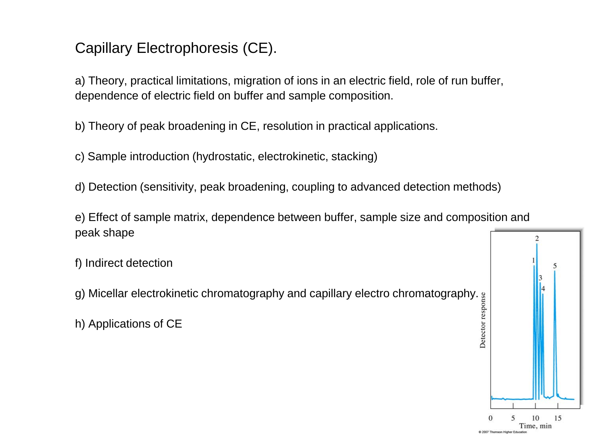#### Capillary Electrophoresis (CE).

a) Theory, practical limitations, migration of ions in an electric field, role of run buffer, dependence of electric field on buffer and sample composition.

b) Theory of peak broadening in CE, resolution in practical applications.

c) Sample introduction (hydrostatic, electrokinetic, stacking)

d) Detection (sensitivity, peak broadening, coupling to advanced detection methods)

e) Effect of sample matrix, dependence between buffer, sample size and composition and peak shape

f) Indirect detection

g) Micellar electrokinetic chromatography and capillary electro chromatography.



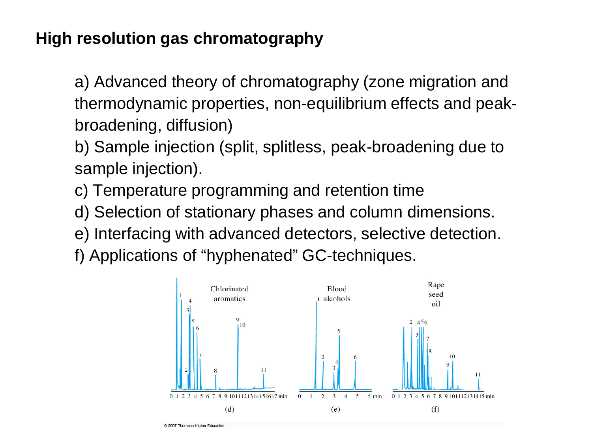### **High resolution gas chromatography**

a) Advanced theory of chromatography (zone migration and thermodynamic properties, non-equilibrium effects and peakbroadening, diffusion)

b) Sample injection (split, splitless, peak-broadening due to sample injection).

c) Temperature programming and retention time

- d) Selection of stationary phases and column dimensions.
- e) Interfacing with advanced detectors, selective detection.

f) Applications of "hyphenated" GC-techniques.

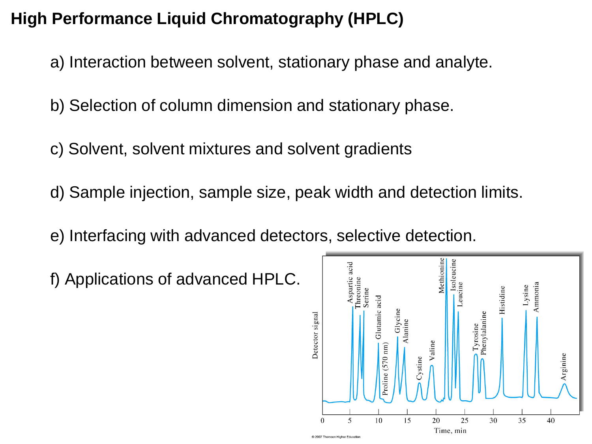### **High Performance Liquid Chromatography (HPLC)**

- a) Interaction between solvent, stationary phase and analyte.
- b) Selection of column dimension and stationary phase.
- c) Solvent, solvent mixtures and solvent gradients
- d) Sample injection, sample size, peak width and detection limits.
- e) Interfacing with advanced detectors, selective detection.
- f) Applications of advanced HPLC.

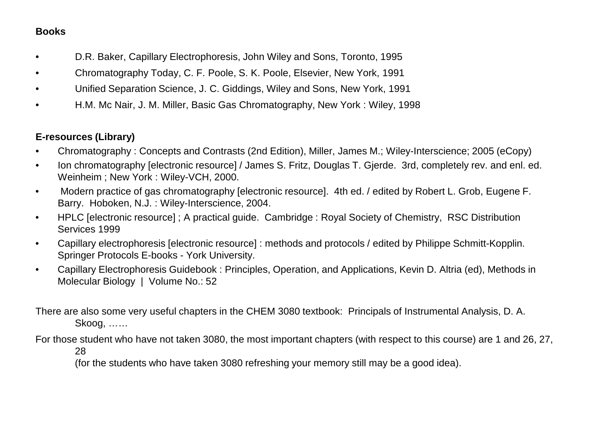#### **Books**

- D.R. Baker, Capillary Electrophoresis, John Wiley and Sons, Toronto, 1995
- Chromatography Today, C. F. Poole, S. K. Poole, Elsevier, New York, 1991
- Unified Separation Science, J. C. Giddings, Wiley and Sons, New York, 1991
- H.M. Mc Nair, J. M. Miller, Basic Gas Chromatography, New York : Wiley, 1998

#### **E-resources (Library)**

- Chromatography : Concepts and Contrasts (2nd Edition), Miller, James M.; Wiley-Interscience; 2005 (eCopy)
- Ion chromatography [electronic resource] / James S. Fritz, Douglas T. Gjerde. 3rd, completely rev. and enl. ed. Weinheim ; New York : Wiley-VCH, 2000.
- Modern practice of gas chromatography [electronic resource]. 4th ed. / edited by Robert L. Grob, Eugene F. Barry. Hoboken, N.J. : Wiley-Interscience, 2004.
- HPLC [electronic resource] ; A practical guide. Cambridge : Royal Society of Chemistry, RSC Distribution Services 1999
- Capillary electrophoresis [electronic resource] : methods and protocols / edited by Philippe Schmitt-Kopplin. Springer Protocols E-books - York University.
- Capillary Electrophoresis Guidebook : Principles, Operation, and Applications, Kevin D. Altria (ed), Methods in Molecular Biology | Volume No.: 52

There are also some very useful chapters in the CHEM 3080 textbook: Principals of Instrumental Analysis, D. A. Skoog, ……

For those student who have not taken 3080, the most important chapters (with respect to this course) are 1 and 26, 27, 28

(for the students who have taken 3080 refreshing your memory still may be a good idea).